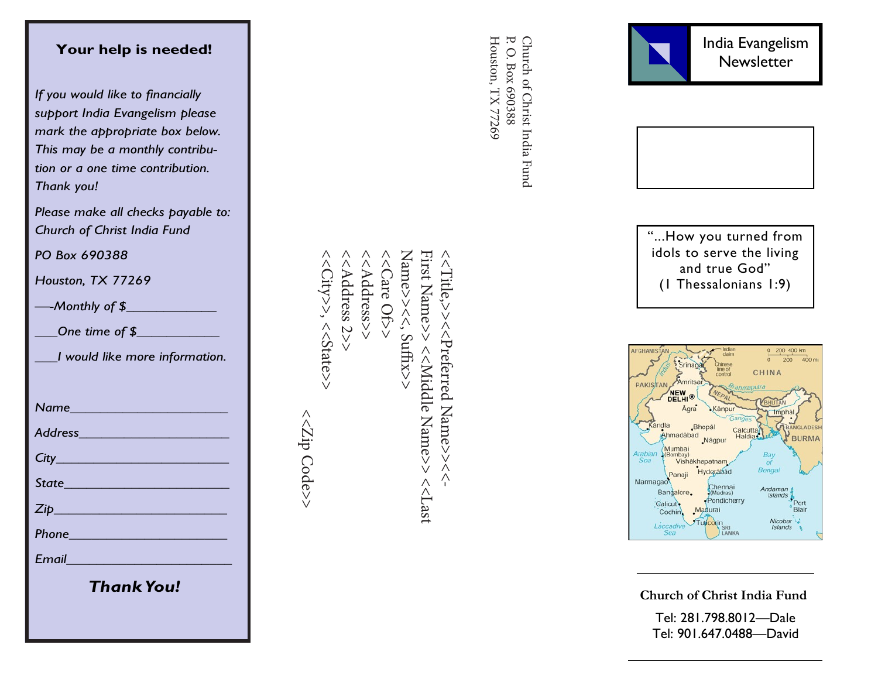## **Your help is needed!**

*If you would like to financially support India Evangelism please mark the appropriate box below. This may be a monthly contribution or a one time contribution. Thank you!*

*Please make all checks payable to: Church of Christ India Fund*

*PO Box 690388*

*Houston, TX 77269*

*—-Monthly of \$\_\_\_\_\_\_\_\_\_\_\_\_*

*\_\_\_One time of \$\_\_\_\_\_\_\_\_\_\_\_*

*\_\_\_I would like more information.*

*Name\_\_\_\_\_\_\_\_\_\_\_\_\_\_\_\_\_\_\_\_\_*

*Address\_\_\_\_\_\_\_\_\_\_\_\_\_\_\_\_\_\_\_\_*

*City\_\_\_\_\_\_\_\_\_\_\_\_\_\_\_\_\_\_\_\_\_\_\_*

*State\_\_\_\_\_\_\_\_\_\_\_\_\_\_\_\_\_\_\_\_\_\_*

*Zip\_\_\_\_\_\_\_\_\_\_\_\_\_\_\_\_\_\_\_\_\_\_\_*

*Phone\_\_\_\_\_\_\_\_\_\_\_\_\_\_\_\_\_\_\_\_\_*

*Email\_\_\_\_\_\_\_\_\_\_\_\_\_\_\_\_\_\_\_\_\_\_*

*Thank You!*

<<Address 2>> Name>><<, Suffix>> First Name>> <<City>>, <<State>>  $<<$ City>>, << $<$ State>> <<Address 2>> <<Address>> <<Address>> <<Care Of>> Name>><<, Suffix>>> First Name>> <<Wilddle Name>> <</ <<<br Niddle Name>> <<2ip Code>> <<Zip Code>> $<<$ Last

 $\wedge$  Title,>> $\wedge$   $\wedge$  Preferred Name>> $\wedge$ 

 $\bigwedge$ 

P. O. Box 690388 Houston, TX 77269 Houston, TX 77269 P. O. Box 690388 Church of Christ India Fund Church of Christ India Fund





"...How you turned from idols to serve the living and true God" (1 Thessalonians 1:9)



**Church of Christ India Fund**

Tel: 281.798.8012 —Dale Tel: 901.647.0488 —David